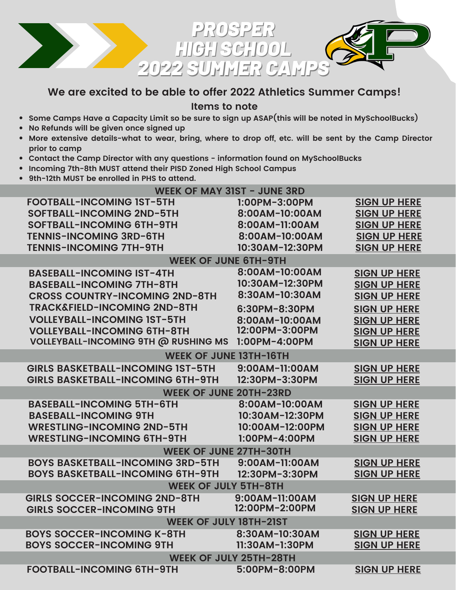

## **We are excited to be able to offer 2022 Athletics Summer Camps!**

**Items to note**

- **Some Camps Have a Capacity Limit so be sure to sign up ASAP(this will be noted in MySchoolBucks)**
- **No Refunds will be given once signed up**
- . More extensive details-what to wear, bring, where to drop off, etc. will be sent by the Camp Director **prior to camp**
- **Contact the Camp Director with any questions - information found on MySchoolBucks**
- **Incoming 7th-8th MUST attend their PISD Zoned High School Campus**
- **9th-12th MUST be enrolled in PHS to attend.**

| WEEK OF MAY 31ST - JUNE 3RD                 |                 |                     |  |
|---------------------------------------------|-----------------|---------------------|--|
| <b>FOOTBALL-INCOMING IST-5TH</b>            | 1:00PM-3:00PM   | <b>SIGN UP HERE</b> |  |
| <b>SOFTBALL-INCOMING 2ND-5TH</b>            | 8:00AM-10:00AM  | <b>SIGN UP HERE</b> |  |
| <b>SOFTBALL-INCOMING 6TH-9TH</b>            | 8:00AM-11:00AM  | <b>SIGN UP HERE</b> |  |
| <b>TENNIS-INCOMING 3RD-6TH</b>              | 8:00AM-10:00AM  | <b>SIGN UP HERE</b> |  |
| <b>TENNIS-INCOMING 7TH-9TH</b>              | 10:30AM-12:30PM | <b>SIGN UP HERE</b> |  |
| <b>WEEK OF JUNE 6TH-9TH</b>                 |                 |                     |  |
| <b>BASEBALL-INCOMING IST-4TH</b>            | 8:00AM-10:00AM  | <b>SIGN UP HERE</b> |  |
| <b>BASEBALL-INCOMING 7TH-8TH</b>            | 10:30AM-12:30PM | <b>SIGN UP HERE</b> |  |
| <b>CROSS COUNTRY-INCOMING 2ND-8TH</b>       | 8:30AM-10:30AM  | <b>SIGN UP HERE</b> |  |
| <b>TRACK&amp;FIELD-INCOMING 2ND-8TH</b>     | 6:30PM-8:30PM   | <b>SIGN UP HERE</b> |  |
| <b>VOLLEYBALL-INCOMING IST-5TH</b>          | 8:00AM-10:00AM  | <b>SIGN UP HERE</b> |  |
| <b>VOLLEYBALL-INCOMING 6TH-8TH</b>          | 12:00PM-3:00PM  | <b>SIGN UP HERE</b> |  |
| <b>VOLLEYBALL-INCOMING 9TH @ RUSHING MS</b> | 1:00PM-4:00PM   | <b>SIGN UP HERE</b> |  |
| <b>WEEK OF JUNE 13TH-16TH</b>               |                 |                     |  |
| <b>GIRLS BASKETBALL-INCOMING IST-5TH</b>    | 9:00AM-11:00AM  | <b>SIGN UP HERE</b> |  |
| <b>GIRLS BASKETBALL-INCOMING 6TH-9TH</b>    | 12:30PM-3:30PM  | <b>SIGN UP HERE</b> |  |
| <b>WEEK OF JUNE 20TH-23RD</b>               |                 |                     |  |
| <b>BASEBALL-INCOMING 5TH-6TH</b>            | 8:00AM-10:00AM  | <b>SIGN UP HERE</b> |  |
| <b>BASEBALL-INCOMING 9TH</b>                | 10:30AM-12:30PM | <b>SIGN UP HERE</b> |  |
| <b>WRESTLING-INCOMING 2ND-5TH</b>           | 10:00AM-12:00PM | <b>SIGN UP HERE</b> |  |
| <b>WRESTLING-INCOMING 6TH-9TH</b>           | 1:00PM-4:00PM   | <b>SIGN UP HERE</b> |  |
| <b>WEEK OF JUNE 27TH-30TH</b>               |                 |                     |  |
| <b>BOYS BASKETBALL-INCOMING 3RD-5TH</b>     | 9:00AM-11:00AM  | <b>SIGN UP HERE</b> |  |
| <b>BOYS BASKETBALL-INCOMING 6TH-9TH</b>     | 12:30PM-3:30PM  | <b>SIGN UP HERE</b> |  |
| <b>WEEK OF JULY 5TH-8TH</b>                 |                 |                     |  |
| <b>GIRLS SOCCER-INCOMING 2ND-8TH</b>        | 9:00AM-11:00AM  | <b>SIGN UP HERE</b> |  |
| <b>GIRLS SOCCER-INCOMING 9TH</b>            | 12:00PM-2:00PM  | <b>SIGN UP HERE</b> |  |
| <b>WEEK OF JULY 18TH-21ST</b>               |                 |                     |  |
| <b>BOYS SOCCER-INCOMING K-8TH</b>           | 8:30AM-10:30AM  | <b>SIGN UP HERE</b> |  |
| <b>BOYS SOCCER-INCOMING 9TH</b>             | 11:30AM-1:30PM  | <b>SIGN UP HERE</b> |  |
| <b>WEEK OF JULY 25TH-28TH</b>               |                 |                     |  |
| <b>FOOTBALL-INCOMING 6TH-9TH</b>            | 5:00PM-8:00PM   | <b>SIGN UP HERE</b> |  |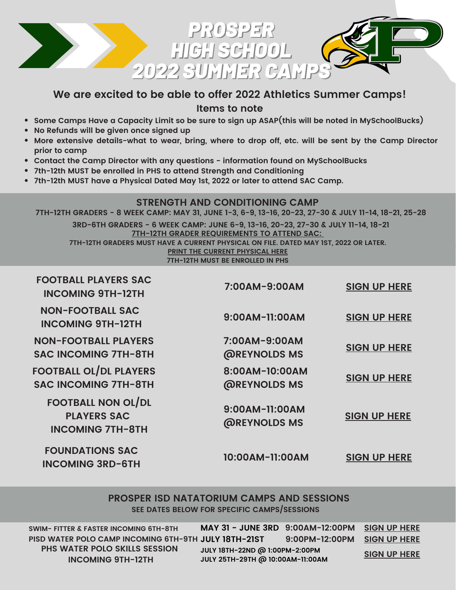

# **We are excited to be able to offer 2022 Athletics Summer Camps!**

**Items to note**

- **Some Camps Have a Capacity Limit so be sure to sign up ASAP(this will be noted in MySchoolBucks)**
- **No Refunds will be given once signed up**
- More extensive details-what to wear, bring, where to drop off, etc. will be sent by the Camp Director **prior to camp**
- **Contact the Camp Director with any questions - information found on MySchoolBucks**
- **7th-12th MUST be enrolled in PHS to attend Strength and Conditioning**
- **7th-12th MUST have a Physical Dated May 1st, 2022 or later to attend SAC Camp.**

#### **STRENGTH AND CONDITIONING CAMP**

7TH-12TH GRADERS - 8 WEEK CAMP: MAY 31, JUNE 1-3, 6-9, 13-16, 20-23, 27-30 & JULY 11-14, 18-21, 25-28

**7TH-12TH GRADER REQUIREMENTS TO ATTEND SAC: 7TH-12TH GRADERS MUST HAVE A CURRENT PHYSICAL ON FILE. DATED MAY 1ST, 2022 OR LATER. PRINT THE CURRENT [PHYSICAL](https://www.prosper-isd.net/Page/14588) HERE 7TH-12TH MUST BE ENROLLED IN PHS 3RD-6TH GRADERS - 6 WEEK CAMP: JUNE 6-9, 13-16, 20-23, 27-30 & JULY 11-14, 18-21**

| <b>FOOTBALL PLAYERS SAC</b><br><b>INCOMING 9TH-12TH</b>                    | 7:00AM-9:00AM                         | <b>SIGN UP HERE</b> |
|----------------------------------------------------------------------------|---------------------------------------|---------------------|
| <b>NON-FOOTBALL SAC</b><br><b>INCOMING 9TH-12TH</b>                        | 9:00AM-11:00AM                        | <b>SIGN UP HERE</b> |
| <b>NON-FOOTBALL PLAYERS</b><br><b>SAC INCOMING 7TH-8TH</b>                 | 7:00AM-9:00AM<br><b>@REYNOLDS MS</b>  | <b>SIGN UP HERE</b> |
| <b>FOOTBALL OL/DL PLAYERS</b><br><b>SAC INCOMING 7TH-8TH</b>               | 8:00AM-10:00AM<br><b>@REYNOLDS MS</b> | <b>SIGN UP HERE</b> |
| <b>FOOTBALL NON OL/DL</b><br><b>PLAYERS SAC</b><br><b>INCOMING 7TH-8TH</b> | 9:00AM-11:00AM<br><b>@REYNOLDS MS</b> | <b>SIGN UP HERE</b> |
| <b>FOUNDATIONS SAC</b><br><b>INCOMING 3RD-6TH</b>                          | 10:00AM-11:00AM                       | <b>SIGN UP HERE</b> |

#### **PROSPER ISD NATATORIUM CAMPS AND SESSIONS SEE DATES BELOW FOR SPECIFIC CAMPS/SESSIONS**

**SWIM- FITTER & FASTER INCOMING 6TH-8TH 9:00AM-12:00PM SIGN UP [HERE](https://www.myschoolbucks.com/ver2/prdembd?ref=ZZH55P0BQF0824D_ZZ5U8U486JJVQ00) PISD WATER POLO CAMP INCOMING 6TH-9TH 9:00PM-12:00PM SIGN UP [HERE](https://www.myschoolbucks.com/ver2/prdembd?ref=ZZH55P0BQF0824D_ZZ5U8U7GFQBVFW3) JULY 18TH-21ST PHS WATER POLO SKILLS SESSION INCOMING 9TH-12TH**

**MAY 31 - JUNE 3RD JULY 18TH-22ND @ 1:00PM-2:00PM JULY 25TH-29TH @ 10:00AM-11:00AM**

**SIGN UP [HERE](https://www.myschoolbucks.com/ver2/prdembd?ref=ZZH55P0BQF0824D_ZZ5UYF0BWOMPVYI)**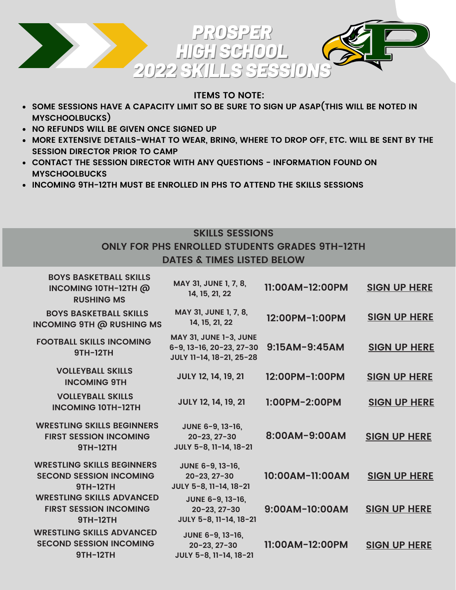

## **ITEMS TO NOTE:**

- **SOME SESSIONS HAVE A CAPACITY LIMIT SO BE SURE TO SIGN UP ASAP(THIS WILL BE NOTED IN MYSCHOOLBUCKS)**
- **NO REFUNDS WILL BE GIVEN ONCE SIGNED UP**
- **MORE EXTENSIVE DETAILS-WHAT TO WEAR, BRING, WHERE TO DROP OFF, ETC. WILL BE SENT BY THE SESSION DIRECTOR PRIOR TO CAMP**
- **CONTACT THE SESSION DIRECTOR WITH ANY QUESTIONS - INFORMATION FOUND ON MYSCHOOLBUCKS**
- **INCOMING 9TH-12TH MUST BE ENROLLED IN PHS TO ATTEND THE SKILLS SESSIONS**

### **SKILLS SESSIONS**

## **ONLY FOR PHS ENROLLED STUDENTS GRADES 9TH-12TH DATES & TIMES LISTED BELOW**

| <b>BOYS BASKETBALL SKILLS</b><br>INCOMING 10TH-12TH @<br><b>RUSHING MS</b>             | MAY 31, JUNE 1, 7, 8,<br>14, 15, 21, 22                                               | 11:00AM-12:00PM | <b>SIGN UP HERE</b> |
|----------------------------------------------------------------------------------------|---------------------------------------------------------------------------------------|-----------------|---------------------|
| <b>BOYS BASKETBALL SKILLS</b><br><b>INCOMING 9TH @ RUSHING MS</b>                      | MAY 31, JUNE 1, 7, 8,<br>14, 15, 21, 22                                               | 12:00PM-1:00PM  | <b>SIGN UP HERE</b> |
| <b>FOOTBALL SKILLS INCOMING</b><br><b>9TH-12TH</b>                                     | <b>MAY 31, JUNE 1-3, JUNE</b><br>6-9, 13-16, 20-23, 27-30<br>JULY 11-14, 18-21, 25-28 | $9:15AM-9:45AM$ | <b>SIGN UP HERE</b> |
| <b>VOLLEYBALL SKILLS</b><br><b>INCOMING 9TH</b>                                        | <b>JULY 12, 14, 19, 21</b>                                                            | 12:00PM-1:00PM  | <b>SIGN UP HERE</b> |
| <b>VOLLEYBALL SKILLS</b><br><b>INCOMING 10TH-12TH</b>                                  | <b>JULY 12, 14, 19, 21</b>                                                            | 1:00PM-2:00PM   | <b>SIGN UP HERE</b> |
| <b>WRESTLING SKILLS BEGINNERS</b><br><b>FIRST SESSION INCOMING</b><br><b>9TH-12TH</b>  | JUNE 6-9, 13-16,<br>$20 - 23, 27 - 30$<br>JULY 5-8, 11-14, 18-21                      | 8:00AM-9:00AM   | <b>SIGN UP HERE</b> |
| <b>WRESTLING SKILLS BEGINNERS</b><br><b>SECOND SESSION INCOMING</b><br><b>9TH-12TH</b> | JUNE 6-9, 13-16,<br>$20 - 23, 27 - 30$<br>JULY 5-8, 11-14, 18-21                      | 10:00AM-11:00AM | <b>SIGN UP HERE</b> |
| <b>WRESTLING SKILLS ADVANCED</b><br><b>FIRST SESSION INCOMING</b><br><b>9TH-12TH</b>   | JUNE 6-9, 13-16,<br>$20 - 23, 27 - 30$<br>JULY 5-8, 11-14, 18-21                      | 9:00AM-10:00AM  | <b>SIGN UP HERE</b> |
| <b>WRESTLING SKILLS ADVANCED</b><br><b>SECOND SESSION INCOMING</b><br><b>9TH-12TH</b>  | JUNE 6-9, 13-16,<br>$20 - 23, 27 - 30$<br>JULY 5-8, 11-14, 18-21                      | 11:00AM-12:00PM | <b>SIGN UP HERE</b> |
|                                                                                        |                                                                                       |                 |                     |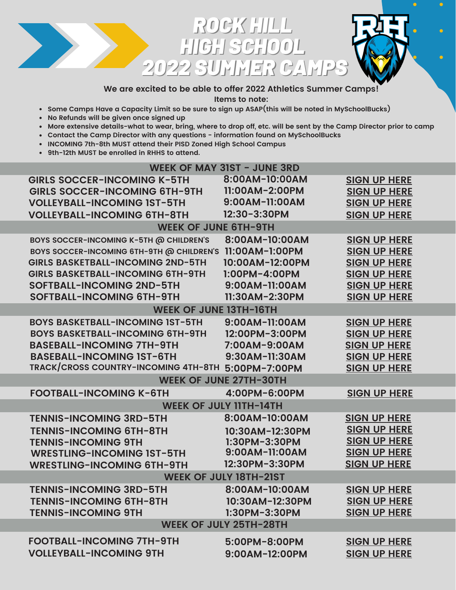

### **We are excited to be able to offer 2022 Athletics Summer Camps!**

**Items to note:**

- **Some Camps Have a Capacity Limit so be sure to sign up ASAP(this will be noted in MySchoolBucks)**
- **No Refunds will be given once signed up**
- More extensive details-what to wear, bring, where to drop off, etc. will be sent by the Camp Director prior to camp
- **Contact the Camp Director with any questions - information found on MySchoolBucks**
- **INCOMING 7th-8th MUST attend their PISD Zoned High School Campus**
- **9th-12th MUST be enrolled in RHHS to attend.**

| WEEK OF MAY 31ST - JUNE 3RD                        |                               |                     |  |
|----------------------------------------------------|-------------------------------|---------------------|--|
| <b>GIRLS SOCCER-INCOMING K-5TH</b>                 | 8:00AM-10:00AM                | <b>SIGN UP HERE</b> |  |
| <b>GIRLS SOCCER-INCOMING 6TH-9TH</b>               | 11:00AM-2:00PM                | <b>SIGN UP HERE</b> |  |
| <b>VOLLEYBALL-INCOMING IST-5TH</b>                 | 9:00AM-11:00AM                | <b>SIGN UP HERE</b> |  |
| <b>VOLLEYBALL-INCOMING 6TH-8TH</b>                 | 12:30-3:30PM                  | <b>SIGN UP HERE</b> |  |
| <b>WEEK OF JUNE 6TH-9TH</b>                        |                               |                     |  |
| BOYS SOCCER-INCOMING K-5TH @ CHILDREN'S            | 8:00AM-10:00AM                | <b>SIGN UP HERE</b> |  |
| BOYS SOCCER-INCOMING 6TH-9TH @ CHILDREN'S          | 11:00AM-1:00PM                | <b>SIGN UP HERE</b> |  |
| <b>GIRLS BASKETBALL-INCOMING 2ND-5TH</b>           | 10:00AM-12:00PM               | <b>SIGN UP HERE</b> |  |
| <b>GIRLS BASKETBALL-INCOMING 6TH-9TH</b>           | 1:00PM-4:00PM                 | <b>SIGN UP HERE</b> |  |
| <b>SOFTBALL-INCOMING 2ND-5TH</b>                   | 9:00AM-11:00AM                | <b>SIGN UP HERE</b> |  |
| SOFTBALL-INCOMING 6TH-9TH                          | 11:30AM-2:30PM                | <b>SIGN UP HERE</b> |  |
| <b>WEEK OF JUNE 13TH-16TH</b>                      |                               |                     |  |
| <b>BOYS BASKETBALL-INCOMING IST-5TH</b>            | 9:00AM-11:00AM                | <b>SIGN UP HERE</b> |  |
| <b>BOYS BASKETBALL-INCOMING 6TH-9TH</b>            | 12:00PM-3:00PM                | <b>SIGN UP HERE</b> |  |
| <b>BASEBALL-INCOMING 7TH-9TH</b>                   | 7:00AM-9:00AM                 | <b>SIGN UP HERE</b> |  |
| <b>BASEBALL-INCOMING IST-6TH</b>                   | 9:30AM-11:30AM                | <b>SIGN UP HERE</b> |  |
| TRACK/CROSS COUNTRY-INCOMING 4TH-8TH 5:00PM-7:00PM |                               | <b>SIGN UP HERE</b> |  |
|                                                    | <b>WEEK OF JUNE 27TH-30TH</b> |                     |  |
| <b>FOOTBALL-INCOMING K-6TH</b>                     | 4:00PM-6:00PM                 | <b>SIGN UP HERE</b> |  |
|                                                    | <b>WEEK OF JULY IITH-14TH</b> |                     |  |
| <b>TENNIS-INCOMING 3RD-5TH</b>                     | 8:00AM-10:00AM                | <b>SIGN UP HERE</b> |  |
| <b>TENNIS-INCOMING 6TH-8TH</b>                     | 10:30AM-12:30PM               | <b>SIGN UP HERE</b> |  |
| <b>TENNIS-INCOMING 9TH</b>                         | 1:30PM-3:30PM                 | <b>SIGN UP HERE</b> |  |
| <b>WRESTLING-INCOMING IST-5TH</b>                  | 9:00AM-11:00AM                | <b>SIGN UP HERE</b> |  |
| <b>WRESTLING-INCOMING 6TH-9TH</b>                  | 12:30PM-3:30PM                | <b>SIGN UP HERE</b> |  |
| <b>WEEK OF JULY 18TH-21ST</b>                      |                               |                     |  |
| <b>TENNIS-INCOMING 3RD-5TH</b>                     | 8:00AM-10:00AM                | <b>SIGN UP HERE</b> |  |
| <b>TENNIS-INCOMING 6TH-8TH</b>                     | 10:30AM-12:30PM               | <b>SIGN UP HERE</b> |  |
| <b>TENNIS-INCOMING 9TH</b>                         | 1:30PM-3:30PM                 | <b>SIGN UP HERE</b> |  |
| <b>WEEK OF JULY 25TH-28TH</b>                      |                               |                     |  |
| <b>FOOTBALL-INCOMING 7TH-9TH</b>                   | 5:00PM-8:00PM                 | <b>SIGN UP HERE</b> |  |
| <b>VOLLEYBALL-INCOMING 9TH</b>                     | 9:00AM-12:00PM                | <b>SIGN UP HERE</b> |  |
|                                                    |                               |                     |  |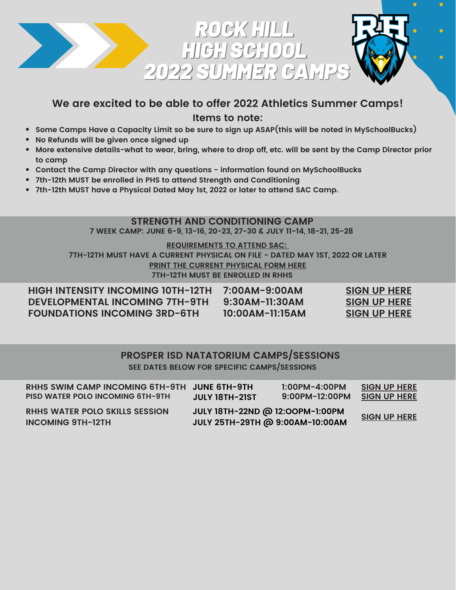

# **We are excited to be able to offer 2022 Athletics Summer Camps! Items to note:**

- **Some Camps Have a Capacity Limit so be sure to sign up ASAP(this will be noted in MySchoolBucks)**
- **No Refunds will be given once signed up**
- More extensive details-what to wear, bring, where to drop off, etc. will be sent by the Camp Director prior **to camp**
- **Contact the Camp Director with any questions - information found on MySchoolBucks**
- **7th-12th MUST be enrolled in PHS to attend Strength and Conditioning**
- **7th-12th MUST have a Physical Dated May 1st, 2022 or later to attend SAC Camp.**

### **STRENGTH AND CONDITIONING CAMP**

**7 WEEK CAMP: JUNE 6-9, 13-16, 20-23, 27-30 & JULY 11-14, 18-21, 25-28**

#### **REQUIREMENTS TO ATTEND SAC:**

**7TH-12TH MUST HAVE A CURRENT PHYSICAL ON FILE - DATED MAY 1ST, 2022 OR LATER PRINT THE CURRENT [PHYSICAL](https://www.prosper-isd.net/Page/14588) FORM HERE 7TH-12TH MUST BE ENROLLED IN RHHS**

| <b>HIGH INTENSITY INCOMING 10TH-12TH</b> | 7:00AM-9:00AM    | <b>SIGN UP HERE</b> |
|------------------------------------------|------------------|---------------------|
| <b>DEVELOPMENTAL INCOMING 7TH-9TH</b>    | $9:30AM-11:30AM$ | <b>SIGN UP HERE</b> |
| <b>FOUNDATIONS INCOMING 3RD-6TH</b>      | 10:00AM-11:15AM  | <b>SIGN UP HERE</b> |

### **PROSPER ISD NATATORIUM CAMPS/SESSIONS SEE DATES BELOW FOR SPECIFIC CAMPS/SESSIONS**

| RHHS SWIM CAMP INCOMING 6TH-9TH JUNE 6TH-9TH                      | <b>JULY 18TH-21ST</b>                                              | $1:00PM - 4:00PM$ | <b>SIGN UP HERE</b> |
|-------------------------------------------------------------------|--------------------------------------------------------------------|-------------------|---------------------|
| <b>PISD WATER POLO INCOMING 6TH-9TH</b>                           |                                                                    | 9:00PM-12:00PM    | <b>SIGN UP HERE</b> |
| <b>RHHS WATER POLO SKILLS SESSION</b><br><b>INCOMING 9TH-12TH</b> | JULY 18TH-22ND @ 12:00PM-1:00PM<br>JULY 25TH-29TH @ 9:00AM-10:00AM |                   | <b>SIGN UP HERE</b> |